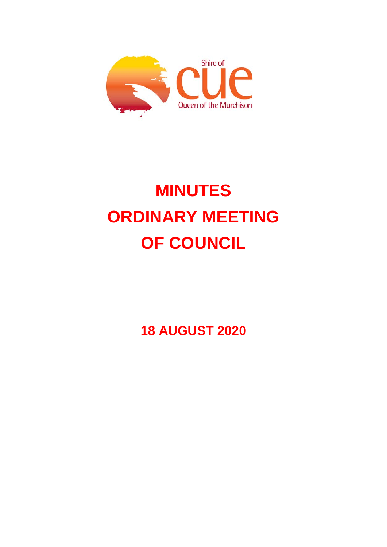

# **MINUTES ORDINARY MEETING OF COUNCIL**

**18 AUGUST 2020**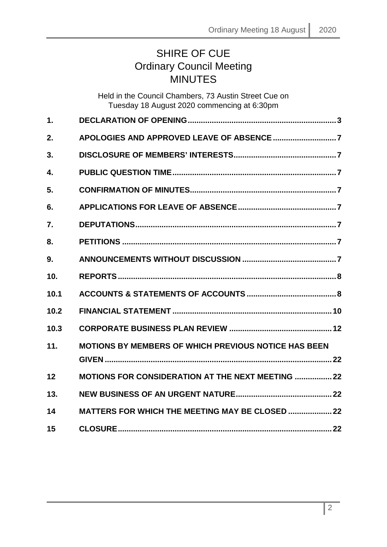## SHIRE OF CUE Ordinary Council Meeting **MINUTES**

|               | Held in the Council Chambers, 73 Austin Street Cue on<br>Tuesday 18 August 2020 commencing at 6:30pm |
|---------------|------------------------------------------------------------------------------------------------------|
| $\mathbf 1$ . |                                                                                                      |
| 2.            |                                                                                                      |
| 3.            |                                                                                                      |
| 4.            |                                                                                                      |
| 5.            |                                                                                                      |
| 6.            |                                                                                                      |
| 7.            |                                                                                                      |
| 8.            |                                                                                                      |
| 9.            |                                                                                                      |
| 10.           |                                                                                                      |
| 10.1          |                                                                                                      |
| 10.2          |                                                                                                      |
| 10.3          |                                                                                                      |
| 11.           | MOTIONS BY MEMBERS OF WHICH PREVIOUS NOTICE HAS BEEN                                                 |
| 12            | <b>MOTIONS FOR CONSIDERATION AT THE NEXT MEETING  22</b>                                             |
| 13.           |                                                                                                      |
| 14            | <b>MATTERS FOR WHICH THE MEETING MAY BE CLOSED  22</b>                                               |
| 15            |                                                                                                      |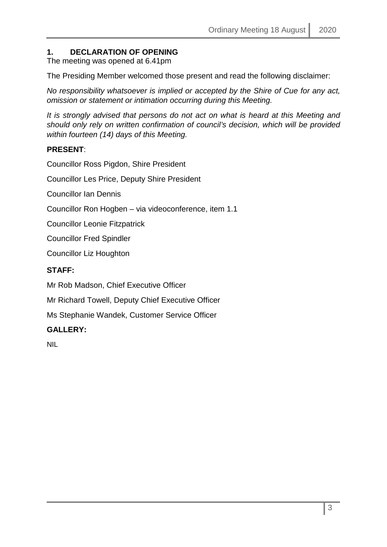### <span id="page-2-0"></span>**1. DECLARATION OF OPENING**

The meeting was opened at 6.41pm

The Presiding Member welcomed those present and read the following disclaimer:

*No responsibility whatsoever is implied or accepted by the Shire of Cue for any act, omission or statement or intimation occurring during this Meeting.*

*It is strongly advised that persons do not act on what is heard at this Meeting and should only rely on written confirmation of council's decision, which will be provided within fourteen (14) days of this Meeting.*

### **PRESENT**:

Councillor Ross Pigdon, Shire President

Councillor Les Price, Deputy Shire President

Councillor Ian Dennis

Councillor Ron Hogben – via videoconference, item 1.1

Councillor Leonie Fitzpatrick

Councillor Fred Spindler

Councillor Liz Houghton

### **STAFF:**

Mr Rob Madson, Chief Executive Officer

Mr Richard Towell, Deputy Chief Executive Officer

Ms Stephanie Wandek, Customer Service Officer

### **GALLERY:**

NIL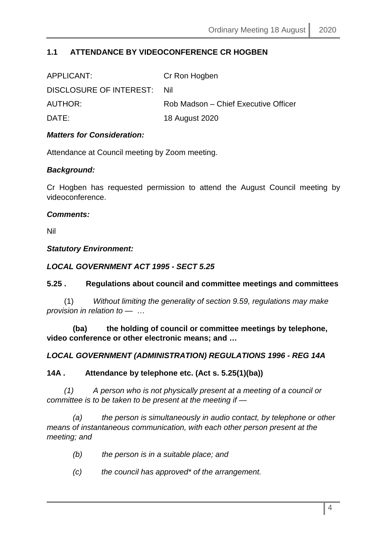### **1.1 ATTENDANCE BY VIDEOCONFERENCE CR HOGBEN**

| APPLICANT:              | Cr Ron Hogben                        |
|-------------------------|--------------------------------------|
| DISCLOSURE OF INTEREST: | -Nil                                 |
| AUTHOR:                 | Rob Madson – Chief Executive Officer |
| DATE:                   | 18 August 2020                       |
|                         |                                      |

### *Matters for Consideration:*

Attendance at Council meeting by Zoom meeting.

### *Background:*

Cr Hogben has requested permission to attend the August Council meeting by videoconference.

### *Comments:*

Nil

### *Statutory Environment:*

### *LOCAL GOVERNMENT ACT 1995 - SECT 5.25*

### **5.25 . Regulations about council and committee meetings and committees**

 (1) *Without limiting the generality of section 9.59, regulations may make provision in relation to —* …

 **(ba) the holding of council or committee meetings by telephone, video conference or other electronic means; and …**

### *LOCAL GOVERNMENT (ADMINISTRATION) REGULATIONS 1996 - REG 14A*

### **14A . Attendance by telephone etc. (Act s. 5.25(1)(ba))**

 *(1) A person who is not physically present at a meeting of a council or committee is to be taken to be present at the meeting if —*

 *(a) the person is simultaneously in audio contact, by telephone or other means of instantaneous communication, with each other person present at the meeting; and* 

- *(b) the person is in a suitable place; and*
- *(c) the council has approved\* of the arrangement.*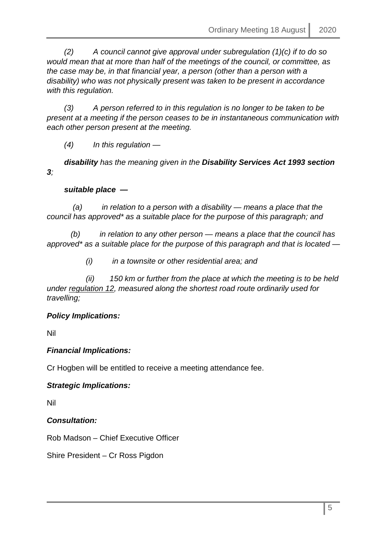*(2) A council cannot give approval under subregulation (1)(c) if to do so would mean that at more than half of the meetings of the council, or committee, as the case may be, in that financial year, a person (other than a person with a disability) who was not physically present was taken to be present in accordance with this regulation.* 

 *(3) A person referred to in this regulation is no longer to be taken to be present at a meeting if the person ceases to be in instantaneous communication with each other person present at the meeting.* 

 *(4) In this regulation —*

 *disability has the meaning given in the Disability Services Act 1993 section 3;* 

### *suitable place —*

 *(a) in relation to a person with a disability — means a place that the council has approved\* as a suitable place for the purpose of this paragraph; and* 

 *(b) in relation to any other person — means a place that the council has approved\* as a suitable place for the purpose of this paragraph and that is located —*

 *(i) in a townsite or other residential area; and* 

 *(ii) 150 km or further from the place at which the meeting is to be held under regulation 12, measured along the shortest road route ordinarily used for travelling;*

### *Policy Implications:*

Nil

### *Financial Implications:*

Cr Hogben will be entitled to receive a meeting attendance fee.

### *Strategic Implications:*

Nil

*Consultation:*

Rob Madson – Chief Executive Officer

Shire President – Cr Ross Pigdon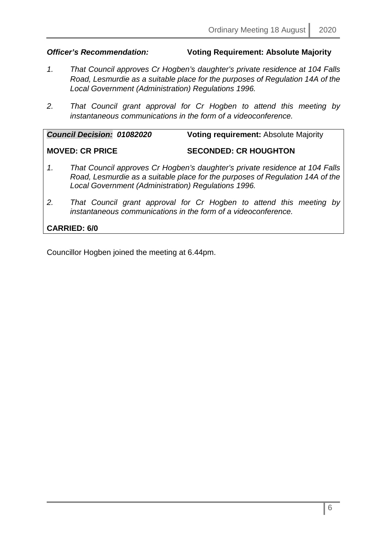### *Officer's Recommendation:* **Voting Requirement: Absolute Majority**

- *1. That Council approves Cr Hogben's daughter's private residence at 104 Falls Road, Lesmurdie as a suitable place for the purposes of Regulation 14A of the Local Government (Administration) Regulations 1996.*
- *2. That Council grant approval for Cr Hogben to attend this meeting by instantaneous communications in the form of a videoconference.*

|    | <b>Council Decision: 01082020</b>                              | <b>Voting requirement: Absolute Majority</b>                                                                                                                 |
|----|----------------------------------------------------------------|--------------------------------------------------------------------------------------------------------------------------------------------------------------|
|    | <b>MOVED: CR PRICE</b>                                         | <b>SECONDED: CR HOUGHTON</b>                                                                                                                                 |
| 1. | Local Government (Administration) Regulations 1996.            | That Council approves Cr Hogben's daughter's private residence at 104 Falls<br>Road, Lesmurdie as a suitable place for the purposes of Regulation 14A of the |
| 2. | instantaneous communications in the form of a videoconference. | That Council grant approval for Cr Hogben to attend this meeting by                                                                                          |
|    | <b>CARRIED: 6/0</b>                                            |                                                                                                                                                              |

Councillor Hogben joined the meeting at 6.44pm.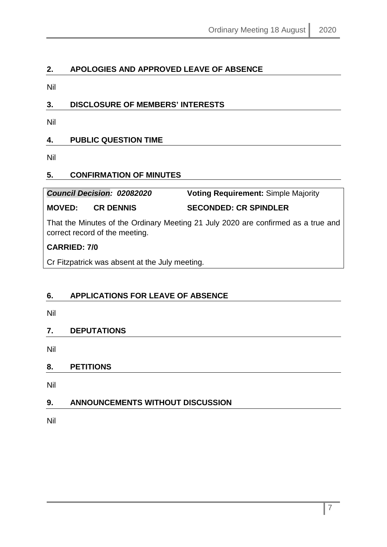### <span id="page-6-0"></span>**2. APOLOGIES AND APPROVED LEAVE OF ABSENCE**

Nil

### <span id="page-6-1"></span>**3. DISCLOSURE OF MEMBERS' INTERESTS**

Nil

### <span id="page-6-2"></span>**4. PUBLIC QUESTION TIME**

Nil

### <span id="page-6-3"></span>**5. CONFIRMATION OF MINUTES**

### *Council Decision: 02082020* **Voting Requirement:** Simple Majority **MOVED: CR DENNIS SECONDED: CR SPINDLER**

That the Minutes of the Ordinary Meeting 21 July 2020 are confirmed as a true and correct record of the meeting.

### **CARRIED: 7/0**

Cr Fitzpatrick was absent at the July meeting.

### <span id="page-6-4"></span>**6. APPLICATIONS FOR LEAVE OF ABSENCE**

Nil

### <span id="page-6-5"></span>**7. DEPUTATIONS**

Nil

### <span id="page-6-6"></span>**8. PETITIONS**

Nil

### <span id="page-6-7"></span>**9. ANNOUNCEMENTS WITHOUT DISCUSSION**

Nil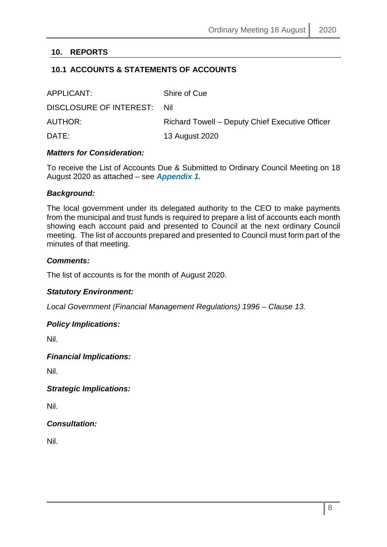### <span id="page-7-0"></span>**10. REPORTS**

### <span id="page-7-1"></span>**10.1 ACCOUNTS & STATEMENTS OF ACCOUNTS**

| APPLICANT:                  | Shire of Cue                                    |
|-----------------------------|-------------------------------------------------|
| DISCLOSURE OF INTEREST: Nil |                                                 |
| <b>AUTHOR:</b>              | Richard Towell – Deputy Chief Executive Officer |
| DATE:                       | 13 August 2020                                  |

### *Matters for Consideration:*

To receive the List of Accounts Due & Submitted to Ordinary Council Meeting on 18 August 2020 as attached – see *Appendix 1.*

### *Background:*

The local government under its delegated authority to the CEO to make payments from the municipal and trust funds is required to prepare a list of accounts each month showing each account paid and presented to Council at the next ordinary Council meeting. The list of accounts prepared and presented to Council must form part of the minutes of that meeting.

### *Comments:*

The list of accounts is for the month of August 2020.

### *Statutory Environment:*

*Local Government (Financial Management Regulations) 1996 – Clause 13.*

### *Policy Implications:*

Nil.

### *Financial Implications:*

Nil.

*Strategic Implications:*

Nil.

### *Consultation:*

Nil.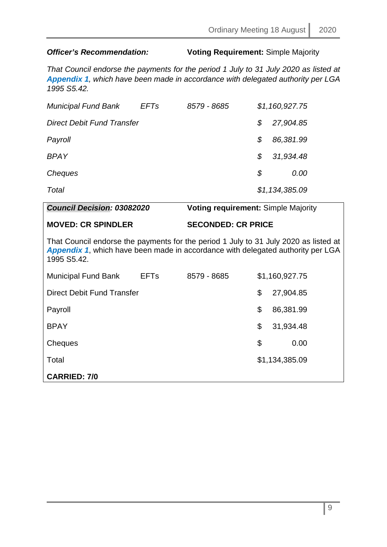### *Officer's Recommendation:* **Voting Requirement:** Simple Majority

*That Council endorse the payments for the period 1 July to 31 July 2020 as listed at Appendix 1, which have been made in accordance with delegated authority per LGA 1995 S5.42.*

| <b>Municipal Fund Bank</b>        | <b>EFTs</b> | 8579 - 8685 |    | \$1,160,927.75 |
|-----------------------------------|-------------|-------------|----|----------------|
| <b>Direct Debit Fund Transfer</b> |             |             | S. | 27,904.85      |
| Payroll                           |             |             | S  | 86,381.99      |
| <b>BPAY</b>                       |             |             | \$ | 31,934.48      |
| Cheques                           |             |             | S  | 0.00           |
| Total                             |             |             |    | \$1,134,385.09 |

| Council Decision: 03082020                                                                                                                                                                    |                        | <b>Voting requirement: Simple Majority</b> |    |                |
|-----------------------------------------------------------------------------------------------------------------------------------------------------------------------------------------------|------------------------|--------------------------------------------|----|----------------|
| <b>MOVED: CR SPINDLER</b>                                                                                                                                                                     |                        | <b>SECONDED: CR PRICE</b>                  |    |                |
| That Council endorse the payments for the period 1 July to 31 July 2020 as listed at<br><b>Appendix 1, which have been made in accordance with delegated authority per LGA</b><br>1995 S5.42. |                        |                                            |    |                |
| <b>Municipal Fund Bank</b>                                                                                                                                                                    | <b>EFT<sub>s</sub></b> | 8579 - 8685                                |    | \$1,160,927.75 |
| <b>Direct Debit Fund Transfer</b>                                                                                                                                                             |                        |                                            | \$ | 27,904.85      |
| Payroll                                                                                                                                                                                       |                        |                                            | \$ | 86,381.99      |
| <b>BPAY</b>                                                                                                                                                                                   |                        |                                            | \$ | 31,934.48      |
| Cheques                                                                                                                                                                                       |                        |                                            | \$ | 0.00           |
| Total                                                                                                                                                                                         |                        |                                            |    | \$1,134,385.09 |
| <b>CARRIED: 7/0</b>                                                                                                                                                                           |                        |                                            |    |                |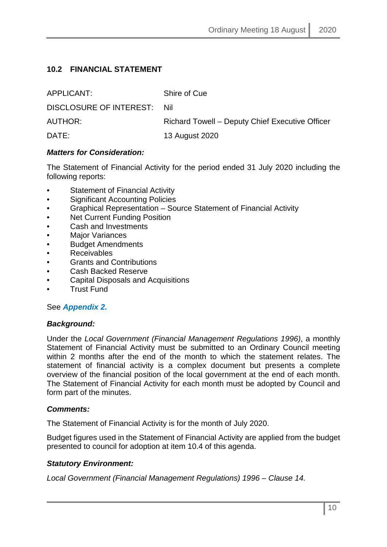### <span id="page-9-0"></span>**10.2 FINANCIAL STATEMENT**

| APPLICANT:              | Shire of Cue                                    |
|-------------------------|-------------------------------------------------|
| DISCLOSURE OF INTEREST: | Nil.                                            |
| AUTHOR:                 | Richard Towell - Deputy Chief Executive Officer |
| DATE:                   | 13 August 2020                                  |

### *Matters for Consideration:*

The Statement of Financial Activity for the period ended 31 July 2020 including the following reports:

- Statement of Financial Activity
- Significant Accounting Policies
- Graphical Representation Source Statement of Financial Activity
- **Net Current Funding Position**
- Cash and Investments
- **Major Variances**
- Budget Amendments
- Receivables
- Grants and Contributions
- Cash Backed Reserve
- Capital Disposals and Acquisitions
- Trust Fund

### See *Appendix 2.*

### *Background:*

Under the *Local Government (Financial Management Regulations 1996)*, a monthly Statement of Financial Activity must be submitted to an Ordinary Council meeting within 2 months after the end of the month to which the statement relates. The statement of financial activity is a complex document but presents a complete overview of the financial position of the local government at the end of each month. The Statement of Financial Activity for each month must be adopted by Council and form part of the minutes.

### *Comments:*

The Statement of Financial Activity is for the month of July 2020.

Budget figures used in the Statement of Financial Activity are applied from the budget presented to council for adoption at item 10.4 of this agenda.

### *Statutory Environment:*

*Local Government (Financial Management Regulations) 1996 – Clause 14.*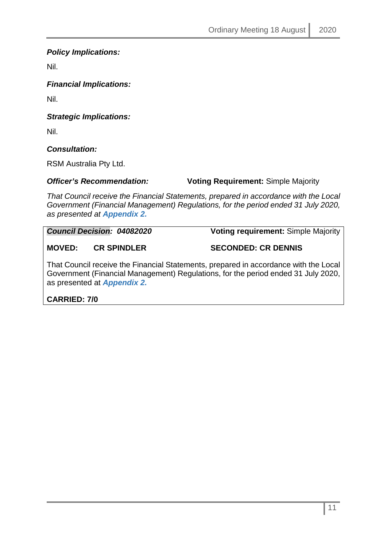### *Policy Implications:*

Nil.

*Financial Implications:*

Nil.

*Strategic Implications:*

Nil.

### *Consultation:*

RSM Australia Pty Ltd.

*Officer's Recommendation:* **Voting Requirement:** Simple Majority

*That Council receive the Financial Statements, prepared in accordance with the Local Government (Financial Management) Regulations, for the period ended 31 July 2020, as presented at Appendix 2.*

*Council Decision: 04082020* **Voting requirement:** Simple Majority

**MOVED: CR SPINDLER SECONDED: CR DENNIS**

That Council receive the Financial Statements, prepared in accordance with the Local Government (Financial Management) Regulations, for the period ended 31 July 2020, as presented at *Appendix 2.*

**CARRIED: 7/0**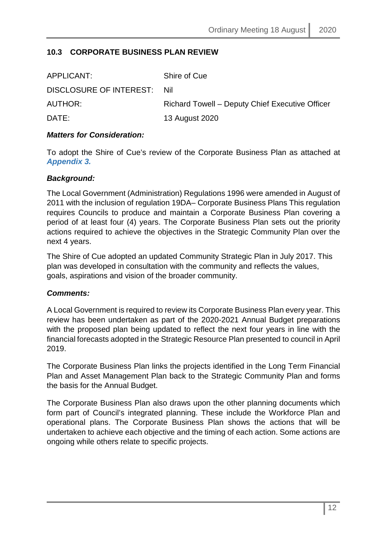### <span id="page-11-0"></span>**10.3 CORPORATE BUSINESS PLAN REVIEW**

| Shire of Cue                                    |
|-------------------------------------------------|
| DISCLOSURE OF INTEREST: Nil                     |
| Richard Towell – Deputy Chief Executive Officer |
| 13 August 2020                                  |
|                                                 |

### *Matters for Consideration:*

To adopt the Shire of Cue's review of the Corporate Business Plan as attached at *Appendix 3.*

### *Background:*

The Local Government (Administration) Regulations 1996 were amended in August of 2011 with the inclusion of regulation 19DA– Corporate Business Plans This regulation requires Councils to produce and maintain a Corporate Business Plan covering a period of at least four (4) years. The Corporate Business Plan sets out the priority actions required to achieve the objectives in the Strategic Community Plan over the next 4 years.

The Shire of Cue adopted an updated Community Strategic Plan in July 2017. This plan was developed in consultation with the community and reflects the values, goals, aspirations and vision of the broader community.

### *Comments:*

A Local Government is required to review its Corporate Business Plan every year. This review has been undertaken as part of the 2020-2021 Annual Budget preparations with the proposed plan being updated to reflect the next four years in line with the financial forecasts adopted in the Strategic Resource Plan presented to council in April 2019.

The Corporate Business Plan links the projects identified in the Long Term Financial Plan and Asset Management Plan back to the Strategic Community Plan and forms the basis for the Annual Budget.

The Corporate Business Plan also draws upon the other planning documents which form part of Council's integrated planning. These include the Workforce Plan and operational plans. The Corporate Business Plan shows the actions that will be undertaken to achieve each objective and the timing of each action. Some actions are ongoing while others relate to specific projects.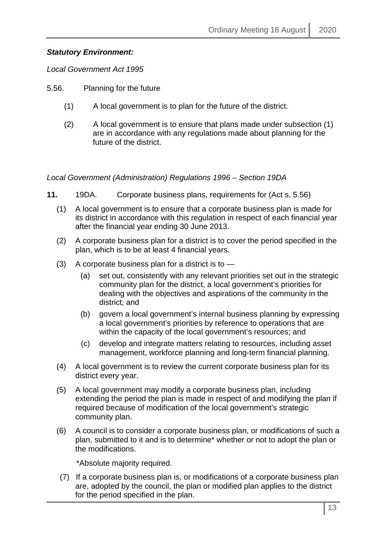### *Statutory Environment:*

*Local Government Act 1995* 

- 5.56. Planning for the future
	- (1) A local government is to plan for the future of the district.
	- (2) A local government is to ensure that plans made under subsection (1) are in accordance with any regulations made about planning for the future of the district.

*Local Government (Administration) Regulations 1996 – Section 19DA*

- **11.** 19DA. Corporate business plans, requirements for (Act s. 5.56)
	- (1) A local government is to ensure that a corporate business plan is made for its district in accordance with this regulation in respect of each financial year after the financial year ending 30 June 2013.
	- (2) A corporate business plan for a district is to cover the period specified in the plan, which is to be at least 4 financial years.
	- $(3)$  A corporate business plan for a district is to  $-$ 
		- (a) set out, consistently with any relevant priorities set out in the strategic community plan for the district, a local government's priorities for dealing with the objectives and aspirations of the community in the district; and
		- (b) govern a local government's internal business planning by expressing a local government's priorities by reference to operations that are within the capacity of the local government's resources; and
		- (c) develop and integrate matters relating to resources, including asset management, workforce planning and long-term financial planning.
	- (4) A local government is to review the current corporate business plan for its district every year.
	- (5) A local government may modify a corporate business plan, including extending the period the plan is made in respect of and modifying the plan if required because of modification of the local government's strategic community plan.
	- (6) A council is to consider a corporate business plan, or modifications of such a plan, submitted to it and is to determine\* whether or not to adopt the plan or the modifications.

\*Absolute majority required.

 (7) If a corporate business plan is, or modifications of a corporate business plan are, adopted by the council, the plan or modified plan applies to the district for the period specified in the plan.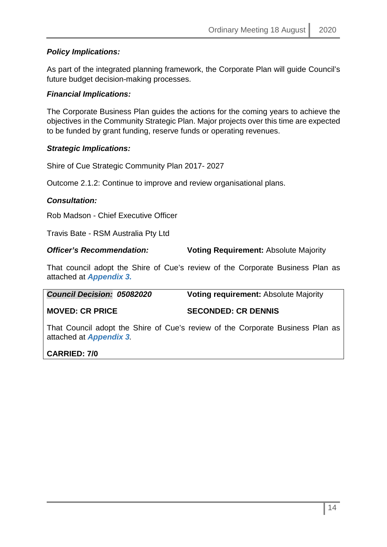### *Policy Implications:*

As part of the integrated planning framework, the Corporate Plan will guide Council's future budget decision-making processes.

### *Financial Implications:*

The Corporate Business Plan guides the actions for the coming years to achieve the objectives in the Community Strategic Plan. Major projects over this time are expected to be funded by grant funding, reserve funds or operating revenues.

### *Strategic Implications:*

Shire of Cue Strategic Community Plan 2017- 2027

Outcome 2.1.2: Continue to improve and review organisational plans.

### *Consultation:*

Rob Madson - Chief Executive Officer

Travis Bate - RSM Australia Pty Ltd

**Officer's Recommendation: Voting Requirement: Absolute Majority** 

That council adopt the Shire of Cue's review of the Corporate Business Plan as attached at *Appendix 3.*

| <b>Council Decision: 05082020</b> | <b>Voting requirement: Absolute Majority</b> |
|-----------------------------------|----------------------------------------------|
| <b>MOVED: CR PRICE</b>            | <b>SECONDED: CR DENNIS</b>                   |
|                                   |                                              |

That Council adopt the Shire of Cue's review of the Corporate Business Plan as attached at *Appendix 3.* 

### **CARRIED: 7/0**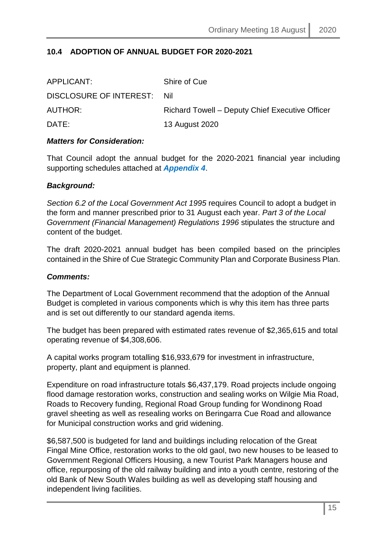### **10.4 ADOPTION OF ANNUAL BUDGET FOR 2020-2021**

| APPLICANT:                  | Shire of Cue                                    |
|-----------------------------|-------------------------------------------------|
| DISCLOSURE OF INTEREST: Nil |                                                 |
| AUTHOR:                     | Richard Towell – Deputy Chief Executive Officer |
| DATE:                       | 13 August 2020                                  |

### *Matters for Consideration:*

That Council adopt the annual budget for the 2020-2021 financial year including supporting schedules attached at *Appendix 4*.

### *Background:*

*Section 6.2 of the Local Government Act 1995* requires Council to adopt a budget in the form and manner prescribed prior to 31 August each year. *Part 3 of the Local Government (Financial Management) Regulations 1996* stipulates the structure and content of the budget.

The draft 2020-2021 annual budget has been compiled based on the principles contained in the Shire of Cue Strategic Community Plan and Corporate Business Plan.

### *Comments:*

The Department of Local Government recommend that the adoption of the Annual Budget is completed in various components which is why this item has three parts and is set out differently to our standard agenda items.

The budget has been prepared with estimated rates revenue of \$2,365,615 and total operating revenue of \$4,308,606.

A capital works program totalling \$16,933,679 for investment in infrastructure, property, plant and equipment is planned.

Expenditure on road infrastructure totals \$6,437,179. Road projects include ongoing flood damage restoration works, construction and sealing works on Wilgie Mia Road, Roads to Recovery funding, Regional Road Group funding for Wondinong Road gravel sheeting as well as resealing works on Beringarra Cue Road and allowance for Municipal construction works and grid widening.

\$6,587,500 is budgeted for land and buildings including relocation of the Great Fingal Mine Office, restoration works to the old gaol, two new houses to be leased to Government Regional Officers Housing, a new Tourist Park Managers house and office, repurposing of the old railway building and into a youth centre, restoring of the old Bank of New South Wales building as well as developing staff housing and independent living facilities.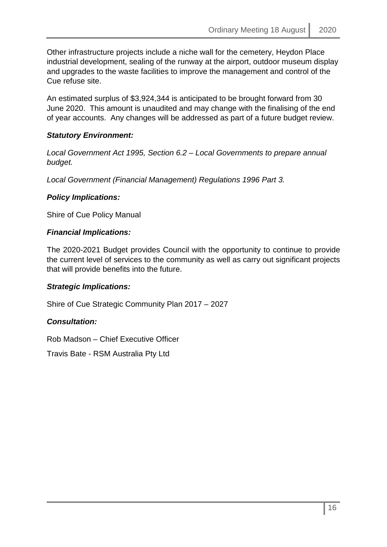Other infrastructure projects include a niche wall for the cemetery, Heydon Place industrial development, sealing of the runway at the airport, outdoor museum display and upgrades to the waste facilities to improve the management and control of the Cue refuse site.

An estimated surplus of \$3,924,344 is anticipated to be brought forward from 30 June 2020. This amount is unaudited and may change with the finalising of the end of year accounts. Any changes will be addressed as part of a future budget review.

### *Statutory Environment:*

*Local Government Act 1995, Section 6.2 – Local Governments to prepare annual budget.*

*Local Government (Financial Management) Regulations 1996 Part 3.*

### *Policy Implications:*

Shire of Cue Policy Manual

### *Financial Implications:*

The 2020-2021 Budget provides Council with the opportunity to continue to provide the current level of services to the community as well as carry out significant projects that will provide benefits into the future.

### *Strategic Implications:*

Shire of Cue Strategic Community Plan 2017 – 2027

### *Consultation:*

Rob Madson – Chief Executive Officer

Travis Bate - RSM Australia Pty Ltd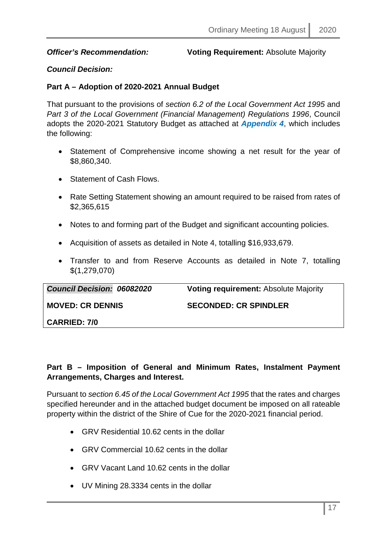### *Officer's Recommendation:* **Voting Requirement:** Absolute Majority

### *Council Decision:*

### **Part A – Adoption of 2020-2021 Annual Budget**

That pursuant to the provisions of *section 6.2 of the Local Government Act 1995* and *Part 3 of the Local Government (Financial Management) Regulations 1996*, Council adopts the 2020-2021 Statutory Budget as attached at *Appendix 4*, which includes the following:

- Statement of Comprehensive income showing a net result for the year of \$8,860,340.
- Statement of Cash Flows
- Rate Setting Statement showing an amount required to be raised from rates of \$2,365,615
- Notes to and forming part of the Budget and significant accounting policies.
- Acquisition of assets as detailed in Note 4, totalling \$16,933,679.
- Transfer to and from Reserve Accounts as detailed in Note 7, totalling \$(1,279,070)

| <b>Council Decision: 06082020</b> | <b>Voting requirement: Absolute Majority</b> |
|-----------------------------------|----------------------------------------------|
| <b>MOVED: CR DENNIS</b>           | <b>SECONDED: CR SPINDLER</b>                 |
| <b>CARRIED: 7/0</b>               |                                              |

### **Part B – Imposition of General and Minimum Rates, Instalment Payment Arrangements, Charges and Interest.**

Pursuant to *section 6.45 of the Local Government Act 1995* that the rates and charges specified hereunder and in the attached budget document be imposed on all rateable property within the district of the Shire of Cue for the 2020-2021 financial period.

- GRV Residential 10.62 cents in the dollar
- GRV Commercial 10.62 cents in the dollar
- GRV Vacant Land 10.62 cents in the dollar
- UV Mining 28.3334 cents in the dollar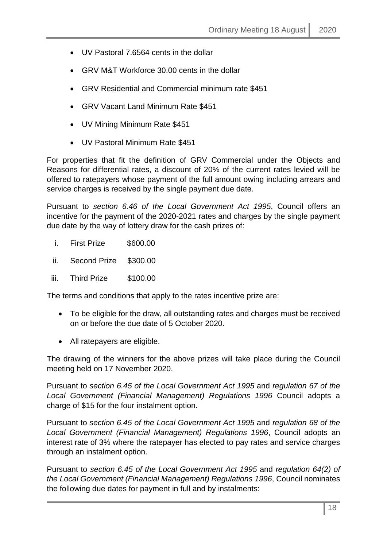- UV Pastoral 7.6564 cents in the dollar
- GRV M&T Workforce 30.00 cents in the dollar
- GRV Residential and Commercial minimum rate \$451
- GRV Vacant Land Minimum Rate \$451
- UV Mining Minimum Rate \$451
- UV Pastoral Minimum Rate \$451

For properties that fit the definition of GRV Commercial under the Objects and Reasons for differential rates, a discount of 20% of the current rates levied will be offered to ratepayers whose payment of the full amount owing including arrears and service charges is received by the single payment due date.

Pursuant to *section 6.46 of the Local Government Act 1995*, Council offers an incentive for the payment of the 2020-2021 rates and charges by the single payment due date by the way of lottery draw for the cash prizes of:

- i. First Prize \$600.00
- ii. Second Prize \$300.00
- iii. Third Prize \$100.00

The terms and conditions that apply to the rates incentive prize are:

- To be eligible for the draw, all outstanding rates and charges must be received on or before the due date of 5 October 2020.
- All ratepayers are eligible.

The drawing of the winners for the above prizes will take place during the Council meeting held on 17 November 2020.

Pursuant to *section 6.45 of the Local Government Act 1995* and *regulation 67 of the Local Government (Financial Management) Regulations 1996* Council adopts a charge of \$15 for the four instalment option.

Pursuant to *section 6.45 of the Local Government Act 1995* and *regulation 68 of the Local Government (Financial Management) Regulations 1996*, Council adopts an interest rate of 3% where the ratepayer has elected to pay rates and service charges through an instalment option.

Pursuant to *section 6.45 of the Local Government Act 1995* and *regulation 64(2) of the Local Government (Financial Management) Regulations 1996*, Council nominates the following due dates for payment in full and by instalments: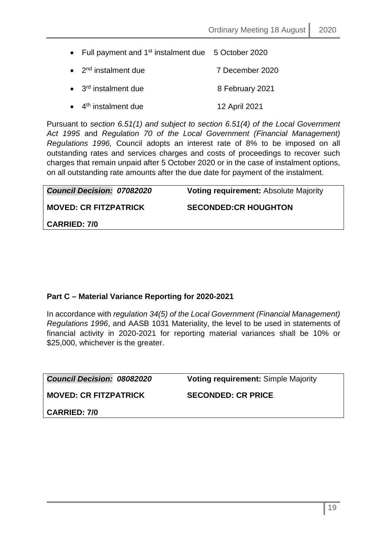| • Full payment and $1st$ instalment due 5 October 2020 |                 |
|--------------------------------------------------------|-----------------|
| $\bullet$ 2 <sup>nd</sup> instalment due               | 7 December 2020 |
| $\bullet$ 3 <sup>rd</sup> instalment due               | 8 February 2021 |
| $\bullet$ 4 <sup>th</sup> instalment due               | 12 April 2021   |

Pursuant to *section 6.51(1) and subject to section 6.51(4) of the Local Government Act 1995* and *Regulation 70 of the Local Government (Financial Management) Regulations 1996,* Council adopts an interest rate of 8% to be imposed on all outstanding rates and services charges and costs of proceedings to recover such charges that remain unpaid after 5 October 2020 or in the case of instalment options, on all outstanding rate amounts after the due date for payment of the instalment.

| <b>Council Decision: 07082020</b> | <b>Voting requirement:</b> Absolute Majority |
|-----------------------------------|----------------------------------------------|
|                                   |                                              |
| <b>MOVED: CR FITZPATRICK</b>      | <b>SECONDED:CR HOUGHTON</b>                  |
|                                   |                                              |
|                                   |                                              |
| <b>CARRIED: 7/0</b>               |                                              |

### **Part C – Material Variance Reporting for 2020-2021**

In accordance with *regulation 34(5) of the Local Government (Financial Management) Regulations 1996*, and AASB 1031 Materiality, the level to be used in statements of financial activity in 2020-2021 for reporting material variances shall be 10% or \$25,000, whichever is the greater.

| <b>Council Decision: 08082020</b> | <b>Voting requirement: Simple Majority</b> |
|-----------------------------------|--------------------------------------------|
| <b>MOVED: CR FITZPATRICK</b>      | <b>SECONDED: CR PRICE</b>                  |
| <b>CARRIED: 7/0</b>               |                                            |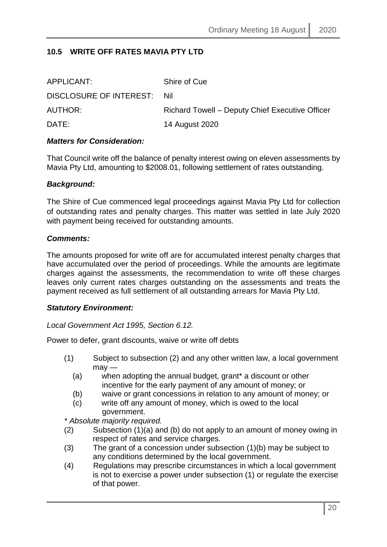### **10.5 WRITE OFF RATES MAVIA PTY LTD**

| APPLICANT:                  | Shire of Cue                                    |
|-----------------------------|-------------------------------------------------|
| DISCLOSURE OF INTEREST: Nil |                                                 |
| AUTHOR:                     | Richard Towell – Deputy Chief Executive Officer |
| DATE:                       | 14 August 2020                                  |

### *Matters for Consideration:*

That Council write off the balance of penalty interest owing on eleven assessments by Mavia Pty Ltd, amounting to \$2008.01, following settlement of rates outstanding.

### *Background:*

The Shire of Cue commenced legal proceedings against Mavia Pty Ltd for collection of outstanding rates and penalty charges. This matter was settled in late July 2020 with payment being received for outstanding amounts.

### *Comments:*

The amounts proposed for write off are for accumulated interest penalty charges that have accumulated over the period of proceedings. While the amounts are legitimate charges against the assessments, the recommendation to write off these charges leaves only current rates charges outstanding on the assessments and treats the payment received as full settlement of all outstanding arrears for Mavia Pty Ltd.

### *Statutory Environment:*

*Local Government Act 1995, Section 6.12.*

Power to defer, grant discounts, waive or write off debts

- (1) Subject to subsection (2) and any other written law, a local government  $mav -$ 
	- (a) when adopting the annual budget, grant\* a discount or other incentive for the early payment of any amount of money; or
	- (b) waive or grant concessions in relation to any amount of money; or
	- (c) write off any amount of money, which is owed to the local government.

*\* Absolute majority required.* 

- (2) Subsection (1)(a) and (b) do not apply to an amount of money owing in respect of rates and service charges.
- (3) The grant of a concession under subsection (1)(b) may be subject to any conditions determined by the local government.
- (4) Regulations may prescribe circumstances in which a local government is not to exercise a power under subsection (1) or regulate the exercise of that power.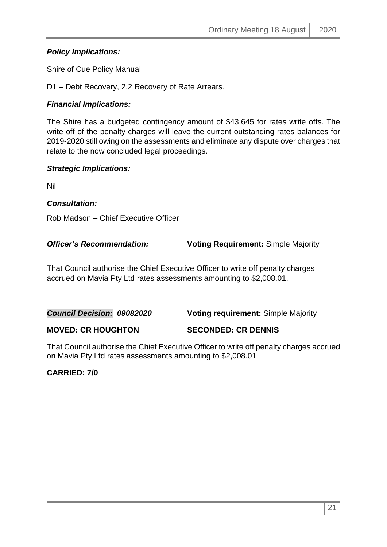### *Policy Implications:*

Shire of Cue Policy Manual

D1 – Debt Recovery, 2.2 Recovery of Rate Arrears.

### *Financial Implications:*

The Shire has a budgeted contingency amount of \$43,645 for rates write offs. The write off of the penalty charges will leave the current outstanding rates balances for 2019-2020 still owing on the assessments and eliminate any dispute over charges that relate to the now concluded legal proceedings.

### *Strategic Implications:*

Nil

### *Consultation:*

Rob Madson – Chief Executive Officer

*Officer's Recommendation:* **Voting Requirement:** Simple Majority

That Council authorise the Chief Executive Officer to write off penalty charges accrued on Mavia Pty Ltd rates assessments amounting to \$2,008.01.

| <b>Council Decision: 09082020</b>                                                       | <b>Voting requirement: Simple Majority</b> |
|-----------------------------------------------------------------------------------------|--------------------------------------------|
| <b>MOVED: CR HOUGHTON</b>                                                               | <b>SECONDED: CR DENNIS</b>                 |
| That Council authorise the Chief Executive Officer to write off penalty charges accrued |                                            |

on Mavia Pty Ltd rates assessments amounting to \$2,008.01

### **CARRIED: 7/0**